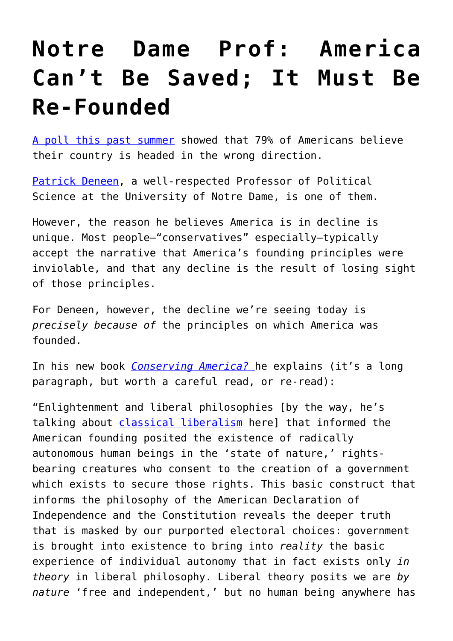## **[Notre Dame Prof: America](https://intellectualtakeout.org/2016/11/notre-dame-prof-america-cant-be-saved-it-must-be-re-founded/) [Can't Be Saved; It Must Be](https://intellectualtakeout.org/2016/11/notre-dame-prof-america-cant-be-saved-it-must-be-re-founded/) [Re-Founded](https://intellectualtakeout.org/2016/11/notre-dame-prof-america-cant-be-saved-it-must-be-re-founded/)**

[A poll this past summer](http://bigstory.ap.org/article/f832c94c7c2c431380839d1f21a7d9c3/8-years-after-hope-and-change-voters-are-angry-anxious) showed that 79% of Americans believe their country is headed in the wrong direction.

[Patrick Deneen](https://www.intellectualtakeout.org/blog/notre-dame-prof-our-schools-are-committing-civilizational-suicide), a well-respected Professor of Political Science at the University of Notre Dame, is one of them.

However, the reason he believes America is in decline is unique. Most people—"conservatives" especially—typically accept the narrative that America's founding principles were inviolable, and that any decline is the result of losing sight of those principles.

For Deneen, however, the decline we're seeing today is *precisely because of* the principles on which America was founded.

In his new book *[Conserving America?](https://www.amazon.com/Conserving-America-Essays-Present-Discontents/dp/1587319152/ref=as_li_ss_tl?ie=UTF8&qid=1478551263&sr=8-1&keywords=deneen+conserving+america&linkCode=sl1&tag=intelltakeo0d-20&linkId=19409304003483850893a229bcc44ec6)* he explains (it's a long paragraph, but worth a careful read, or re-read):

"Enlightenment and liberal philosophies [by the way, he's talking about [classical liberalism](https://www.intellectualtakeout.org/blog/should-we-stop-calling-liberals-liberal) here] that informed the American founding posited the existence of radically autonomous human beings in the 'state of nature,' rightsbearing creatures who consent to the creation of a government which exists to secure those rights. This basic construct that informs the philosophy of the American Declaration of Independence and the Constitution reveals the deeper truth that is masked by our purported electoral choices: government is brought into existence to bring into *reality* the basic experience of individual autonomy that in fact exists only *in theory* in liberal philosophy. Liberal theory posits we are *by nature* 'free and independent,' but no human being anywhere has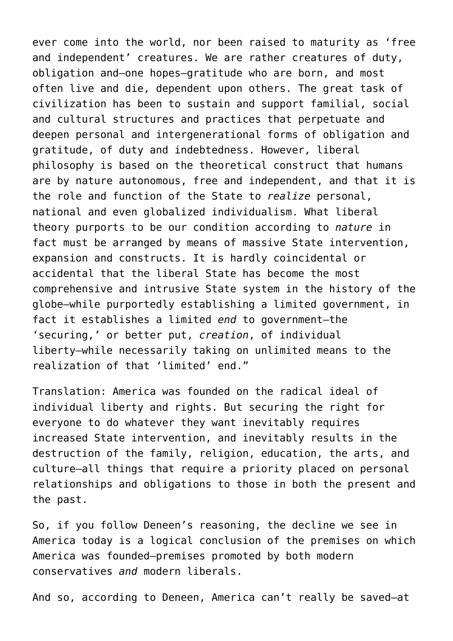ever come into the world, nor been raised to maturity as 'free and independent' creatures. We are rather creatures of duty, obligation and—one hopes—gratitude who are born, and most often live and die, dependent upon others. The great task of civilization has been to sustain and support familial, social and cultural structures and practices that perpetuate and deepen personal and intergenerational forms of obligation and gratitude, of duty and indebtedness. However, liberal philosophy is based on the theoretical construct that humans are by nature autonomous, free and independent, and that it is the role and function of the State to *realize* personal, national and even globalized individualism. What liberal theory purports to be our condition according to *nature* in fact must be arranged by means of massive State intervention, expansion and constructs. It is hardly coincidental or accidental that the liberal State has become the most comprehensive and intrusive State system in the history of the globe—while purportedly establishing a limited government, in fact it establishes a limited *end* to government—the 'securing,' or better put, *creation*, of individual liberty—while necessarily taking on unlimited means to the realization of that 'limited' end."

Translation: America was founded on the radical ideal of individual liberty and rights. But securing the right for everyone to do whatever they want inevitably requires increased State intervention, and inevitably results in the destruction of the family, religion, education, the arts, and culture—all things that require a priority placed on personal relationships and obligations to those in both the present and the past.

So, if you follow Deneen's reasoning, the decline we see in America today is a logical conclusion of the premises on which America was founded—premises promoted by both modern conservatives *and* modern liberals.

And so, according to Deneen, America can't really be saved—at